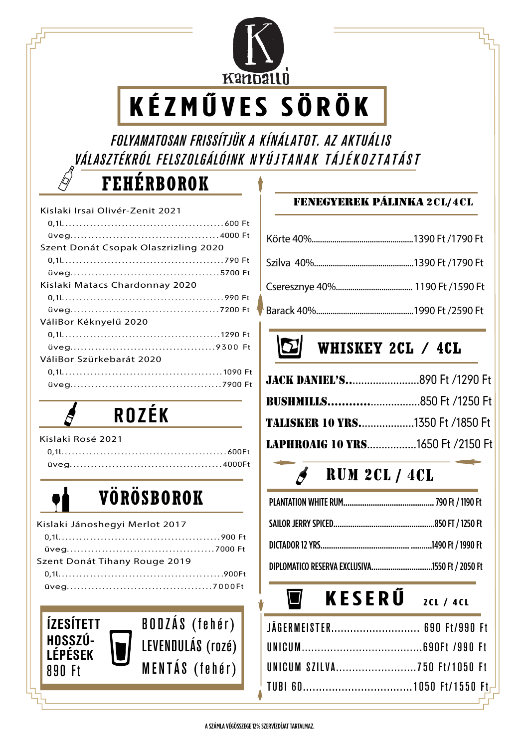

# **KÉZMŰVES SÖRÖK**

 *FOLYAMATOSAN FRISSÍTJÜK A KÍNÁLATOT. AZ AKTUÁLIS VÁLASZTÉKRÓL FELSZOLGÁLÓINK NYÚJTANAK TÁJÉKOZTATÁST*

### **FEHÉRBOROK**

| Kislaki Irsai Olivér-Zenit 2021      |
|--------------------------------------|
|                                      |
|                                      |
| Szent Donát Csopak Olaszrizling 2020 |
|                                      |
|                                      |
| Kislaki Matacs Chardonnay 2020       |
|                                      |
|                                      |
| VáliBor Kéknyelű 2020                |
|                                      |
|                                      |
| VáliBor Szürkebarát 2020             |
|                                      |
|                                      |
|                                      |

## ROZÉK

## **VÖRÖSBOROK**

| Kislaki Jánoshegyi Merlot 2017 |  |
|--------------------------------|--|
|                                |  |
|                                |  |
| Szent Donát Tihany Rouge 2019  |  |
|                                |  |
|                                |  |
|                                |  |



#### fenegyerek pÁlinka 2cl/4cl

### **WHISKEY 2CL / 4CL**

| <b>TALISKER 10 YRS1350 Ft /1850 Ft</b>  |  |
|-----------------------------------------|--|
| <b>LAPHROAIG 10 YRS1650 Ft /2150 Ft</b> |  |

### $\beta$  RUM 2CL / 4CL

| DIPLOMATICO RESERVA EXCLUSIVA1550 Ft / 2050 Ft |  |
|------------------------------------------------|--|

#### $\blacksquare$ **KESERŰ 2CL / 4CL**

| JÄGERMEISTER 690 Ft/990 Ft  |  |  |  |
|-----------------------------|--|--|--|
|                             |  |  |  |
| UNICUM SZILVA750 Ft/1050 Ft |  |  |  |
|                             |  |  |  |
|                             |  |  |  |